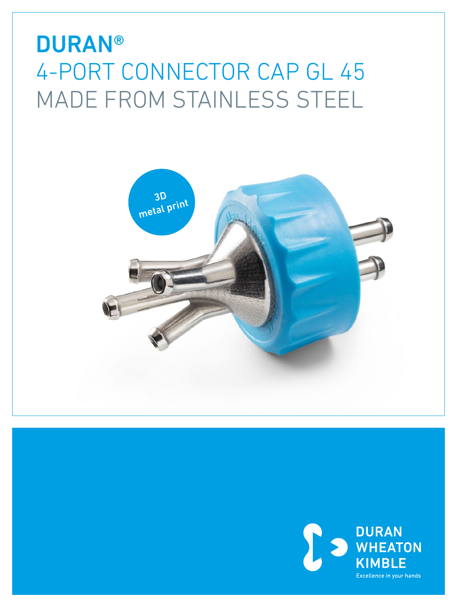# **DURAN®** 4-PORT CONNECTOR CAP GL 45 MADE FROM STAINLESS STEEL